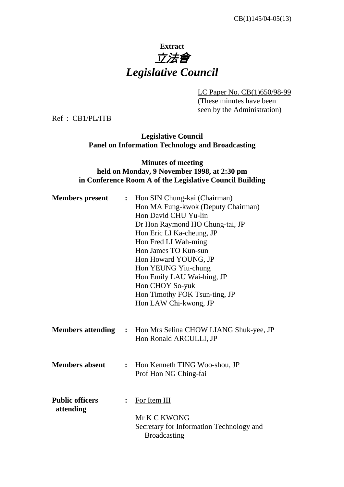# **Extract**  立法會 *Legislative Council*

LC Paper No. CB(1)650/98-99

(These minutes have been seen by the Administration)

Ref : CB1/PL/ITB

### **Legislative Council Panel on Information Technology and Broadcasting**

### **Minutes of meeting held on Monday, 9 November 1998, at 2:30 pm in Conference Room A of the Legislative Council Building**

| <b>Members</b> present              | $\ddot{\cdot}$ | Hon SIN Chung-kai (Chairman)<br>Hon MA Fung-kwok (Deputy Chairman)<br>Hon David CHU Yu-lin<br>Dr Hon Raymond HO Chung-tai, JP<br>Hon Eric LI Ka-cheung, JP<br>Hon Fred LI Wah-ming<br>Hon James TO Kun-sun<br>Hon Howard YOUNG, JP<br>Hon YEUNG Yiu-chung<br>Hon Emily LAU Wai-hing, JP<br>Hon CHOY So-yuk<br>Hon Timothy FOK Tsun-ting, JP<br>Hon LAW Chi-kwong, JP |  |
|-------------------------------------|----------------|----------------------------------------------------------------------------------------------------------------------------------------------------------------------------------------------------------------------------------------------------------------------------------------------------------------------------------------------------------------------|--|
|                                     |                | <b>Members attending : Hon Mrs Selina CHOW LIANG Shuk-yee, JP</b><br>Hon Ronald ARCULLI, JP                                                                                                                                                                                                                                                                          |  |
| <b>Members absent</b>               | $\ddot{\cdot}$ | Hon Kenneth TING Woo-shou, JP<br>Prof Hon NG Ching-fai                                                                                                                                                                                                                                                                                                               |  |
| <b>Public officers</b><br>attending |                | For Item III<br>Mr K C KWONG<br>Secretary for Information Technology and<br><b>Broadcasting</b>                                                                                                                                                                                                                                                                      |  |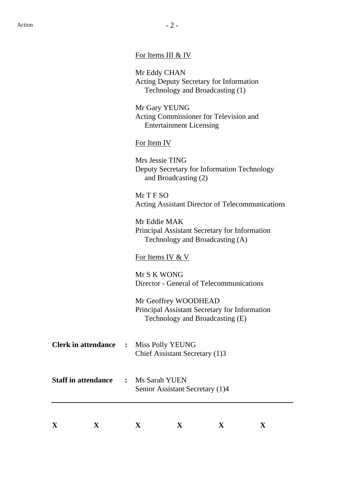|  | For Items III & IV |
|--|--------------------|

 Mr Eddy CHAN Acting Deputy Secretary for Information Technology and Broadcasting (1)

 Mr Gary YEUNG Acting Commissioner for Television and Entertainment Licensing

For Item IV

 Mrs Jessie TING Deputy Secretary for Information Technology and Broadcasting (2)

 Mr T F SO Acting Assistant Director of Telecommunications

 Mr Eddie MAK Principal Assistant Secretary for Information Technology and Broadcasting (A)

### For Items IV & V

 Mr S K WONG Director - General of Telecommunications

 Mr Geoffrey WOODHEAD Principal Assistant Secretary for Information Technology and Broadcasting (E)

| <b>Clerk in attendance : Miss Polly YEUNG</b> |                                |
|-----------------------------------------------|--------------------------------|
|                                               | Chief Assistant Secretary (1)3 |

## **Staff in attendance :** Ms Sarah YUEN Senior Assistant Secretary (1)4

| $ -$<br>∡⊾ | --- |  |  |
|------------|-----|--|--|
|            |     |  |  |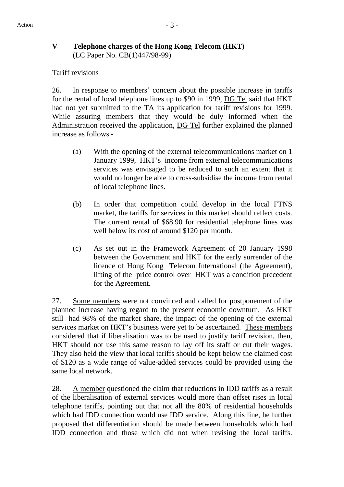### **V Telephone charges of the Hong Kong Telecom (HKT)** (LC Paper No. CB(1)447/98-99)

### Tariff revisions

26. In response to members' concern about the possible increase in tariffs for the rental of local telephone lines up to \$90 in 1999, DG Tel said that HKT had not yet submitted to the TA its application for tariff revisions for 1999. While assuring members that they would be duly informed when the Administration received the application, DG Tel further explained the planned increase as follows -

- (a) With the opening of the external telecommunications market on 1 January 1999, HKT's income from external telecommunications services was envisaged to be reduced to such an extent that it would no longer be able to cross-subsidise the income from rental of local telephone lines.
- (b) In order that competition could develop in the local FTNS market, the tariffs for services in this market should reflect costs. The current rental of \$68.90 for residential telephone lines was well below its cost of around \$120 per month.
- (c) As set out in the Framework Agreement of 20 January 1998 between the Government and HKT for the early surrender of the licence of Hong Kong Telecom International (the Agreement), lifting of the price control over HKT was a condition precedent for the Agreement.

27. Some members were not convinced and called for postponement of the planned increase having regard to the present economic downturn. As HKT still had 98% of the market share, the impact of the opening of the external services market on HKT's business were yet to be ascertained. These members considered that if liberalisation was to be used to justify tariff revision, then, HKT should not use this same reason to lay off its staff or cut their wages. They also held the view that local tariffs should be kept below the claimed cost of \$120 as a wide range of value-added services could be provided using the same local network.

28. A member questioned the claim that reductions in IDD tariffs as a result of the liberalisation of external services would more than offset rises in local telephone tariffs, pointing out that not all the 80% of residential households which had IDD connection would use IDD service. Along this line, he further proposed that differentiation should be made between households which had IDD connection and those which did not when revising the local tariffs.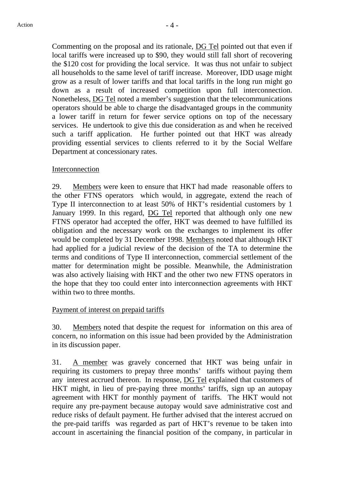Commenting on the proposal and its rationale, DG Tel pointed out that even if local tariffs were increased up to \$90, they would still fall short of recovering the \$120 cost for providing the local service. It was thus not unfair to subject all households to the same level of tariff increase. Moreover, IDD usage might grow as a result of lower tariffs and that local tariffs in the long run might go down as a result of increased competition upon full interconnection. Nonetheless, DG Tel noted a member's suggestion that the telecommunications operators should be able to charge the disadvantaged groups in the community a lower tariff in return for fewer service options on top of the necessary services. He undertook to give this due consideration as and when he received such a tariff application. He further pointed out that HKT was already providing essential services to clients referred to it by the Social Welfare Department at concessionary rates.

### Interconnection

29. Members were keen to ensure that HKT had made reasonable offers to the other FTNS operators which would, in aggregate, extend the reach of Type II interconnection to at least 50% of HKT's residential customers by 1 January 1999. In this regard, DG Tel reported that although only one new FTNS operator had accepted the offer, HKT was deemed to have fulfilled its obligation and the necessary work on the exchanges to implement its offer would be completed by 31 December 1998. Members noted that although HKT had applied for a judicial review of the decision of the TA to determine the terms and conditions of Type II interconnection, commercial settlement of the matter for determination might be possible. Meanwhile, the Administration was also actively liaising with HKT and the other two new FTNS operators in the hope that they too could enter into interconnection agreements with HKT within two to three months.

### Payment of interest on prepaid tariffs

30. Members noted that despite the request for information on this area of concern, no information on this issue had been provided by the Administration in its discussion paper.

31. A member was gravely concerned that HKT was being unfair in requiring its customers to prepay three months' tariffs without paying them any interest accrued thereon. In response, DG Tel explained that customers of HKT might, in lieu of pre-paying three months' tariffs, sign up an autopay agreement with HKT for monthly payment of tariffs. The HKT would not require any pre-payment because autopay would save administrative cost and reduce risks of default payment. He further advised that the interest accrued on the pre-paid tariffs was regarded as part of HKT's revenue to be taken into account in ascertaining the financial position of the company, in particular in